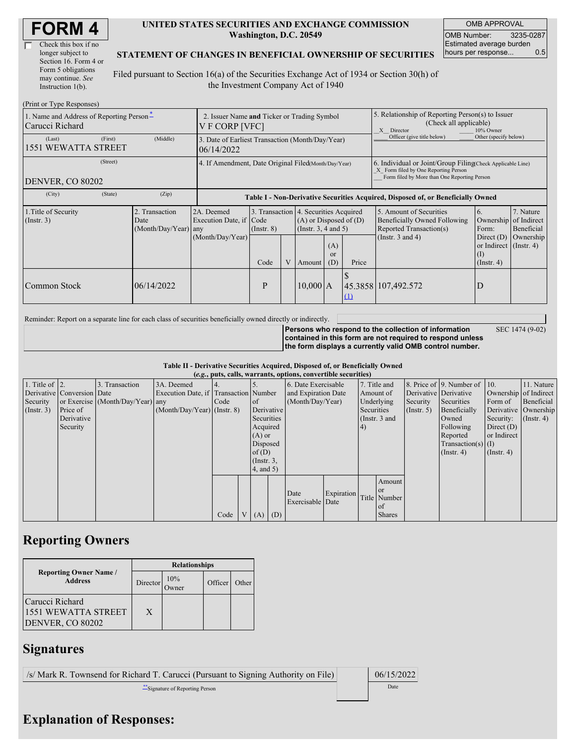| Check this box if no  |
|-----------------------|
| longer subject to     |
| Section 16. Form 4 or |
| Form 5 obligations    |
| may continue. See     |
| Instruction $1(b)$ .  |

#### **UNITED STATES SECURITIES AND EXCHANGE COMMISSION Washington, D.C. 20549**

OMB APPROVAL OMB Number: 3235-0287 Estimated average burden hours per response... 0.5

SEC 1474 (9-02)

### **STATEMENT OF CHANGES IN BENEFICIAL OWNERSHIP OF SECURITIES**

Filed pursuant to Section 16(a) of the Securities Exchange Act of 1934 or Section 30(h) of the Investment Company Act of 1940

| (Print or Type Responses)                                   |                                                               |                                                                                                                                                         |                                                                                  |   |                                                                                                   |                         |                                                                                                                                                    |                                                     |                                                                   |           |  |  |
|-------------------------------------------------------------|---------------------------------------------------------------|---------------------------------------------------------------------------------------------------------------------------------------------------------|----------------------------------------------------------------------------------|---|---------------------------------------------------------------------------------------------------|-------------------------|----------------------------------------------------------------------------------------------------------------------------------------------------|-----------------------------------------------------|-------------------------------------------------------------------|-----------|--|--|
| 1. Name and Address of Reporting Person-<br>Carucci Richard | 2. Issuer Name and Ticker or Trading Symbol<br>V F CORP [VFC] |                                                                                                                                                         |                                                                                  |   |                                                                                                   |                         | 5. Relationship of Reporting Person(s) to Issuer<br>(Check all applicable)<br>X Director<br>10% Owner                                              |                                                     |                                                                   |           |  |  |
| (First)<br>(Last)<br><b>1551 WEWATTA STREET</b>             | (Middle)                                                      | 3. Date of Earliest Transaction (Month/Day/Year)<br>06/14/2022                                                                                          |                                                                                  |   |                                                                                                   |                         |                                                                                                                                                    | Officer (give title below)<br>Other (specify below) |                                                                   |           |  |  |
| (Street)<br><b>DENVER, CO 80202</b>                         | 4. If Amendment, Date Original Filed(Month/Day/Year)          |                                                                                                                                                         |                                                                                  |   |                                                                                                   |                         | 6. Individual or Joint/Group Filing Check Applicable Line)<br>X Form filed by One Reporting Person<br>Form filed by More than One Reporting Person |                                                     |                                                                   |           |  |  |
| (State)<br>(City)                                           | (Zip)                                                         |                                                                                                                                                         | Table I - Non-Derivative Securities Acquired, Disposed of, or Beneficially Owned |   |                                                                                                   |                         |                                                                                                                                                    |                                                     |                                                                   |           |  |  |
| 1. Title of Security<br>(Insert. 3)                         | 2. Transaction<br>Date<br>(Month/Day/Year) any                | 3. Transaction 4. Securities Acquired<br>2A. Deemed<br>Execution Date, if Code<br>$(A)$ or Disposed of $(D)$<br>(Insert. 3, 4 and 5)<br>$($ Instr. $8)$ |                                                                                  |   | 5. Amount of Securities<br>6.<br>Beneficially Owned Following<br>Reported Transaction(s)<br>Form: |                         | 7. Nature<br>Ownership of Indirect<br>Beneficial                                                                                                   |                                                     |                                                                   |           |  |  |
|                                                             |                                                               | (Month/Day/Year)                                                                                                                                        | Code                                                                             | V | Amount                                                                                            | (A)<br><b>or</b><br>(D) | Price                                                                                                                                              | (Instr. $3$ and $4$ )                               | Direct $(D)$<br>or Indirect (Instr. 4)<br>(I)<br>$($ Instr. 4 $)$ | Ownership |  |  |
| Common Stock                                                | 06/14/2022                                                    |                                                                                                                                                         | P                                                                                |   | $10,000$ A                                                                                        |                         | <u>(1)</u>                                                                                                                                         | 45.3858 107,492.572                                 | D                                                                 |           |  |  |

Reminder: Report on a separate line for each class of securities beneficially owned directly or indirectly.

**Persons who respond to the collection of information contained in this form are not required to respond unless the form displays a currently valid OMB control number.**

**Table II - Derivative Securities Acquired, Disposed of, or Beneficially Owned**

| (e.g., puts, calls, warrants, options, convertible securities) |                            |                                  |                                       |      |  |                 |            |                     |            |            |                 |                  |                              |                  |                       |
|----------------------------------------------------------------|----------------------------|----------------------------------|---------------------------------------|------|--|-----------------|------------|---------------------|------------|------------|-----------------|------------------|------------------------------|------------------|-----------------------|
| 1. Title of $\vert$ 2.                                         |                            | 3. Transaction                   | 3A. Deemed                            |      |  |                 |            | 6. Date Exercisable |            |            | 7. Title and    |                  | 8. Price of 9. Number of 10. |                  | 11. Nature            |
|                                                                | Derivative Conversion Date |                                  | Execution Date, if Transaction Number |      |  |                 |            | and Expiration Date |            | Amount of  |                 |                  | Derivative Derivative        |                  | Ownership of Indirect |
| Security                                                       |                            | or Exercise (Month/Day/Year) any |                                       | Code |  | <sub>of</sub>   |            | (Month/Day/Year)    |            |            | Underlying      | Security         | Securities                   | Form of          | Beneficial            |
| (Insert. 3)                                                    | Price of                   |                                  | $(Month/Day/Year)$ (Instr. 8)         |      |  |                 | Derivative |                     |            | Securities |                 | $($ Instr. 5 $)$ | Beneficially                 |                  | Derivative Ownership  |
|                                                                | Derivative                 |                                  |                                       |      |  | Securities      |            |                     |            |            | (Instr. $3$ and |                  | Owned                        | Security:        | $($ Instr. 4 $)$      |
|                                                                | Security                   |                                  |                                       |      |  | Acquired        |            |                     |            | 4)         |                 |                  | Following                    | Direct $(D)$     |                       |
|                                                                |                            |                                  |                                       |      |  | $(A)$ or        |            |                     |            |            |                 |                  | Reported                     | or Indirect      |                       |
|                                                                |                            |                                  |                                       |      |  | Disposed        |            |                     |            |            |                 |                  | $Transaction(s)$ (I)         |                  |                       |
|                                                                |                            |                                  |                                       |      |  | of(D)           |            |                     |            |            |                 |                  | $($ Instr. 4 $)$             | $($ Instr. 4 $)$ |                       |
|                                                                |                            |                                  |                                       |      |  | $($ Instr. $3,$ |            |                     |            |            |                 |                  |                              |                  |                       |
|                                                                |                            |                                  |                                       |      |  | $4$ , and $5$ ) |            |                     |            |            |                 |                  |                              |                  |                       |
|                                                                |                            |                                  |                                       |      |  |                 |            |                     |            |            | Amount          |                  |                              |                  |                       |
|                                                                |                            |                                  |                                       |      |  |                 |            |                     |            |            | or              |                  |                              |                  |                       |
|                                                                |                            |                                  |                                       |      |  |                 |            | Date                | Expiration |            | Title Number    |                  |                              |                  |                       |
|                                                                |                            |                                  |                                       |      |  |                 |            | Exercisable Date    |            |            | <sub>of</sub>   |                  |                              |                  |                       |
|                                                                |                            |                                  |                                       | Code |  | V(A)            | (D)        |                     |            |            | <b>Shares</b>   |                  |                              |                  |                       |

## **Reporting Owners**

|                                                            | <b>Relationships</b> |     |         |       |  |  |  |  |
|------------------------------------------------------------|----------------------|-----|---------|-------|--|--|--|--|
| <b>Reporting Owner Name /</b><br><b>Address</b>            | Director             | 10% | Officer | Other |  |  |  |  |
| Carucci Richard<br>1551 WEWATTA STREET<br>DENVER, CO 80202 | X                    |     |         |       |  |  |  |  |

## **Signatures**

/s/ Mark R. Townsend for Richard T. Carucci (Pursuant to Signing Authority on File) 06/15/2022

\*\*Signature of Reporting Person Date

# **Explanation of Responses:**